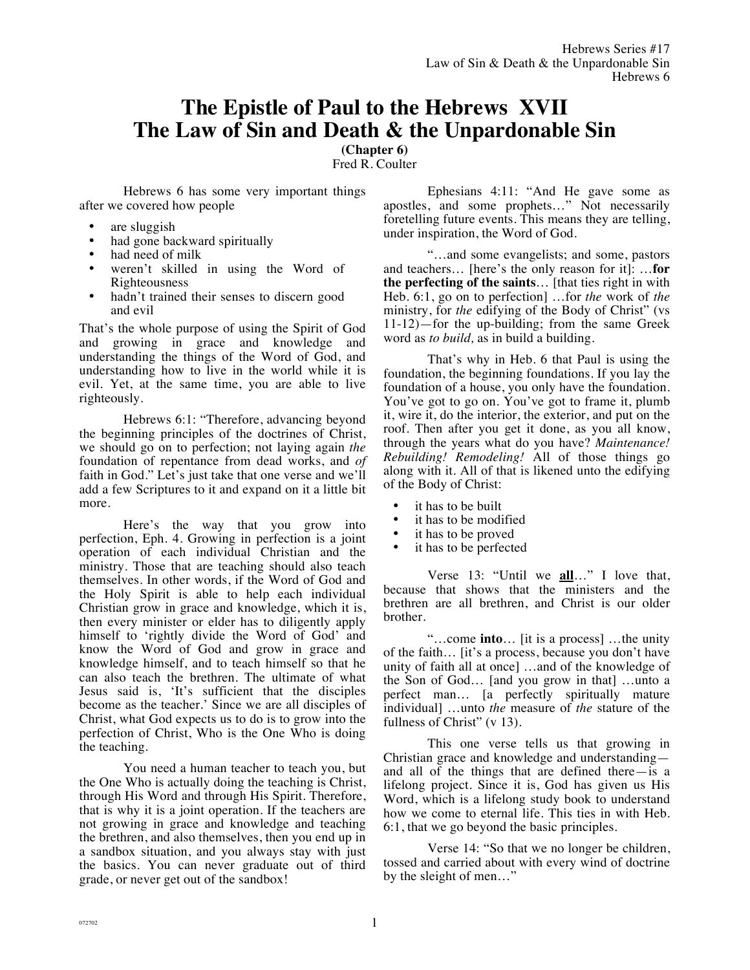# **The Epistle of Paul to the Hebrews XVII The Law of Sin and Death & the Unpardonable Sin**

**(Chapter 6)**

Fred R. Coulter

Hebrews 6 has some very important things after we covered how people

- are sluggish
- had gone backward spiritually
- had need of milk
- weren't skilled in using the Word of Righteousness
- hadn't trained their senses to discern good and evil

That's the whole purpose of using the Spirit of God and growing in grace and knowledge and understanding the things of the Word of God, and understanding how to live in the world while it is evil. Yet, at the same time, you are able to live righteously.

Hebrews 6:1: "Therefore, advancing beyond the beginning principles of the doctrines of Christ, we should go on to perfection; not laying again *the* foundation of repentance from dead works, and *of* faith in God." Let's just take that one verse and we'll add a few Scriptures to it and expand on it a little bit more.

Here's the way that you grow into perfection, Eph. 4. Growing in perfection is a joint operation of each individual Christian and the ministry. Those that are teaching should also teach themselves. In other words, if the Word of God and the Holy Spirit is able to help each individual Christian grow in grace and knowledge, which it is, then every minister or elder has to diligently apply himself to 'rightly divide the Word of God' and know the Word of God and grow in grace and knowledge himself, and to teach himself so that he can also teach the brethren. The ultimate of what Jesus said is, 'It's sufficient that the disciples become as the teacher.' Since we are all disciples of Christ, what God expects us to do is to grow into the perfection of Christ, Who is the One Who is doing the teaching.

You need a human teacher to teach you, but the One Who is actually doing the teaching is Christ, through His Word and through His Spirit. Therefore, that is why it is a joint operation. If the teachers are not growing in grace and knowledge and teaching the brethren, and also themselves, then you end up in a sandbox situation, and you always stay with just the basics. You can never graduate out of third grade, or never get out of the sandbox!

Ephesians 4:11: "And He gave some as apostles, and some prophets…" Not necessarily foretelling future events. This means they are telling, under inspiration, the Word of God.

"…and some evangelists; and some, pastors and teachers… [here's the only reason for it]: …**for the perfecting of the saints**… [that ties right in with Heb. 6:1, go on to perfection] …for *the* work of *the* ministry, for *the* edifying of the Body of Christ" (vs 11-12)—for the up-building; from the same Greek word as *to build,* as in build a building.

That's why in Heb. 6 that Paul is using the foundation, the beginning foundations. If you lay the foundation of a house, you only have the foundation. You've got to go on. You've got to frame it, plumb it, wire it, do the interior, the exterior, and put on the roof. Then after you get it done, as you all know, through the years what do you have? *Maintenance! Rebuilding! Remodeling!* All of those things go along with it. All of that is likened unto the edifying of the Body of Christ:

- it has to be built
- it has to be modified
- it has to be proved
- it has to be perfected

Verse 13: "Until we **all**…" I love that, because that shows that the ministers and the brethren are all brethren, and Christ is our older brother.

"…come **into**… [it is a process] …the unity of the faith… [it's a process, because you don't have unity of faith all at once] …and of the knowledge of the Son of God… [and you grow in that] …unto a perfect man… [a perfectly spiritually mature individual] …unto *the* measure of *the* stature of the fullness of Christ" (v 13).

This one verse tells us that growing in Christian grace and knowledge and understanding and all of the things that are defined there—is a lifelong project. Since it is, God has given us His Word, which is a lifelong study book to understand how we come to eternal life. This ties in with Heb. 6:1, that we go beyond the basic principles.

Verse 14: "So that we no longer be children, tossed and carried about with every wind of doctrine by the sleight of men…"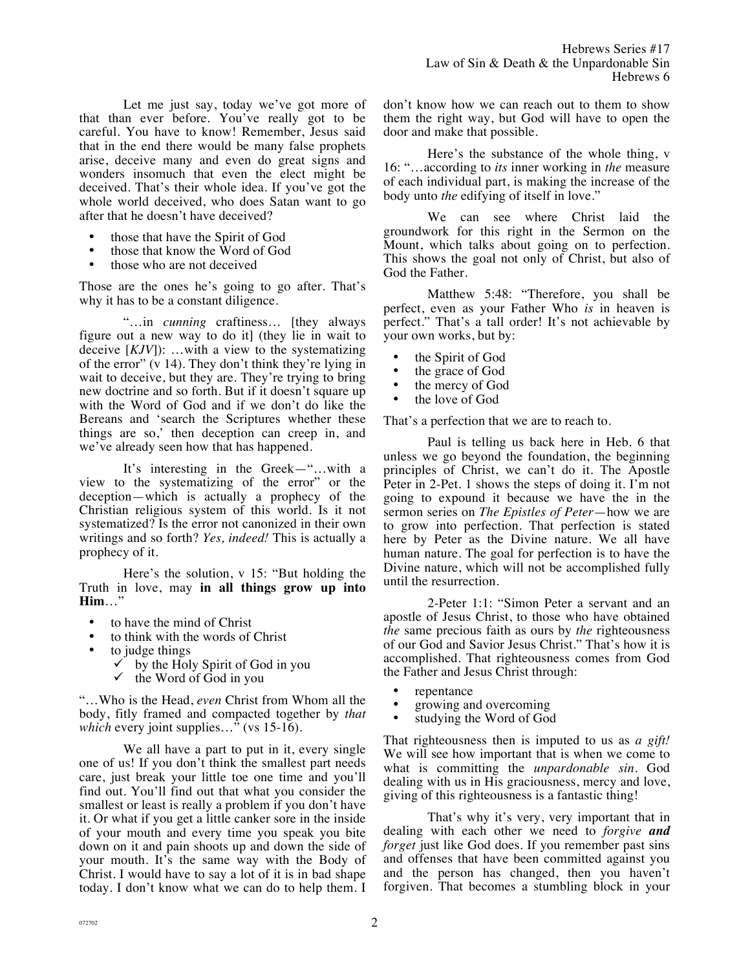Let me just say, today we've got more of that than ever before. You've really got to be careful. You have to know! Remember, Jesus said that in the end there would be many false prophets arise, deceive many and even do great signs and wonders insomuch that even the elect might be deceived. That's their whole idea. If you've got the whole world deceived, who does Satan want to go after that he doesn't have deceived?

- those that have the Spirit of God
- those that know the Word of God
- those who are not deceived

Those are the ones he's going to go after. That's why it has to be a constant diligence.

"…in *cunning* craftiness… [they always figure out a new way to do it] (they lie in wait to deceive [*KJV*]): …with a view to the systematizing of the error" (v 14). They don't think they're lying in wait to deceive, but they are. They're trying to bring new doctrine and so forth. But if it doesn't square up with the Word of God and if we don't do like the Bereans and 'search the Scriptures whether these things are so,' then deception can creep in, and we've already seen how that has happened.

It's interesting in the Greek—"…with a view to the systematizing of the error" or the deception—which is actually a prophecy of the Christian religious system of this world. Is it not systematized? Is the error not canonized in their own writings and so forth? *Yes, indeed!* This is actually a prophecy of it.

Here's the solution, v 15: "But holding the Truth in love, may **in all things grow up into Him**…"

- to have the mind of Christ
- to think with the words of Christ
- to judge things
	- $\checkmark$  by the Holy Spirit of God in you
	- $\checkmark$  the Word of God in you

"…Who is the Head, *even* Christ from Whom all the body, fitly framed and compacted together by *that which* every joint supplies..." (vs 15-16).

We all have a part to put in it, every single one of us! If you don't think the smallest part needs care, just break your little toe one time and you'll find out. You'll find out that what you consider the smallest or least is really a problem if you don't have it. Or what if you get a little canker sore in the inside of your mouth and every time you speak you bite down on it and pain shoots up and down the side of your mouth. It's the same way with the Body of Christ. I would have to say a lot of it is in bad shape today. I don't know what we can do to help them. I don't know how we can reach out to them to show them the right way, but God will have to open the door and make that possible.

Here's the substance of the whole thing, v 16: "…according to *its* inner working in *the* measure of each individual part, is making the increase of the body unto *the* edifying of itself in love."

We can see where Christ laid the groundwork for this right in the Sermon on the Mount, which talks about going on to perfection. This shows the goal not only of Christ, but also of God the Father.

Matthew 5:48: "Therefore, you shall be perfect, even as your Father Who *is* in heaven is perfect." That's a tall order! It's not achievable by your own works, but by:

- the Spirit of God
- the grace of God
- the mercy of God
- the love of God

That's a perfection that we are to reach to.

Paul is telling us back here in Heb. 6 that unless we go beyond the foundation, the beginning principles of Christ, we can't do it. The Apostle Peter in 2-Pet. 1 shows the steps of doing it. I'm not going to expound it because we have the in the sermon series on *The Epistles of Peter*—how we are to grow into perfection. That perfection is stated here by Peter as the Divine nature. We all have human nature. The goal for perfection is to have the Divine nature, which will not be accomplished fully until the resurrection.

2-Peter 1:1: "Simon Peter a servant and an apostle of Jesus Christ, to those who have obtained *the* same precious faith as ours by *the* righteousness of our God and Savior Jesus Christ." That's how it is accomplished. That righteousness comes from God the Father and Jesus Christ through:

- repentance<br>• *growing an*
- growing and overcoming<br>• studying the Word of Good
- studying the Word of God

That righteousness then is imputed to us as *a gift!* We will see how important that is when we come to what is committing the *unpardonable sin.* God dealing with us in His graciousness, mercy and love, giving of this righteousness is a fantastic thing!

That's why it's very, very important that in dealing with each other we need to *forgive and forget* just like God does. If you remember past sins and offenses that have been committed against you and the person has changed, then you haven't forgiven. That becomes a stumbling block in your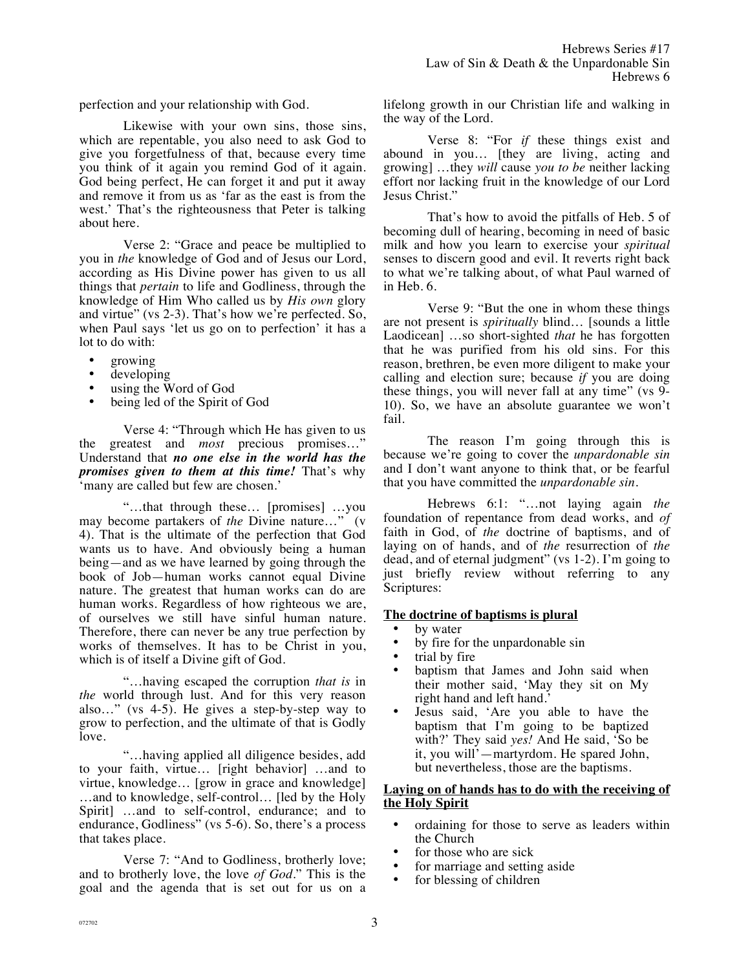perfection and your relationship with God.

Likewise with your own sins, those sins, which are repentable, you also need to ask God to give you forgetfulness of that, because every time you think of it again you remind God of it again. God being perfect, He can forget it and put it away and remove it from us as 'far as the east is from the west.' That's the righteousness that Peter is talking about here.

Verse 2: "Grace and peace be multiplied to you in *the* knowledge of God and of Jesus our Lord, according as His Divine power has given to us all things that *pertain* to life and Godliness, through the knowledge of Him Who called us by *His own* glory and virtue" (vs 2-3). That's how we're perfected. So, when Paul says 'let us go on to perfection' it has a lot to do with:

- growing
- developing
- using the Word of God
- being led of the Spirit of God

Verse 4: "Through which He has given to us the greatest and *most* precious promises…" Understand that *no one else in the world has the promises given to them at this time!* That's why 'many are called but few are chosen.'

"…that through these… [promises] …you may become partakers of *the* Divine nature…" (v 4). That is the ultimate of the perfection that God wants us to have. And obviously being a human being—and as we have learned by going through the book of Job—human works cannot equal Divine nature. The greatest that human works can do are human works. Regardless of how righteous we are, of ourselves we still have sinful human nature. Therefore, there can never be any true perfection by works of themselves. It has to be Christ in you, which is of itself a Divine gift of God.

"…having escaped the corruption *that is* in *the* world through lust. And for this very reason also…" (vs 4-5). He gives a step-by-step way to grow to perfection, and the ultimate of that is Godly love.

"…having applied all diligence besides, add to your faith, virtue… [right behavior] …and to virtue, knowledge… [grow in grace and knowledge] …and to knowledge, self-control… [led by the Holy Spirit] …and to self-control, endurance; and to endurance, Godliness" (vs 5-6). So, there's a process that takes place.

Verse 7: "And to Godliness, brotherly love; and to brotherly love, the love *of God*." This is the goal and the agenda that is set out for us on a lifelong growth in our Christian life and walking in the way of the Lord.

Verse 8: "For *if* these things exist and abound in you… [they are living, acting and growing] …they *will* cause *you to be* neither lacking effort nor lacking fruit in the knowledge of our Lord Jesus Christ."

That's how to avoid the pitfalls of Heb. 5 of becoming dull of hearing, becoming in need of basic milk and how you learn to exercise your *spiritual* senses to discern good and evil. It reverts right back to what we're talking about, of what Paul warned of in Heb. 6.

Verse 9: "But the one in whom these things are not present is *spiritually* blind… [sounds a little Laodicean] …so short-sighted *that* he has forgotten that he was purified from his old sins. For this reason, brethren, be even more diligent to make your calling and election sure; because *if* you are doing these things, you will never fall at any time" (vs 9- 10). So, we have an absolute guarantee we won't fail.

The reason I'm going through this is because we're going to cover the *unpardonable sin* and I don't want anyone to think that, or be fearful that you have committed the *unpardonable sin.*

Hebrews 6:1: "…not laying again *the* foundation of repentance from dead works, and *of* faith in God, of *the* doctrine of baptisms, and of laying on of hands, and of *the* resurrection of *the* dead, and of eternal judgment" (vs 1-2). I'm going to just briefly review without referring to any Scriptures:

### **The doctrine of baptisms is plural**

- by water
- by fire for the unpardonable sin
- trial by fire
- baptism that James and John said when their mother said, 'May they sit on My right hand and left hand.'
- Jesus said, 'Are you able to have the baptism that I'm going to be baptized with?' They said *yes!* And He said, 'So be it, you will'—martyrdom. He spared John, but nevertheless, those are the baptisms.

#### **Laying on of hands has to do with the receiving of the Holy Spirit**

- ordaining for those to serve as leaders within the Church
- for those who are sick
- for marriage and setting aside
- for blessing of children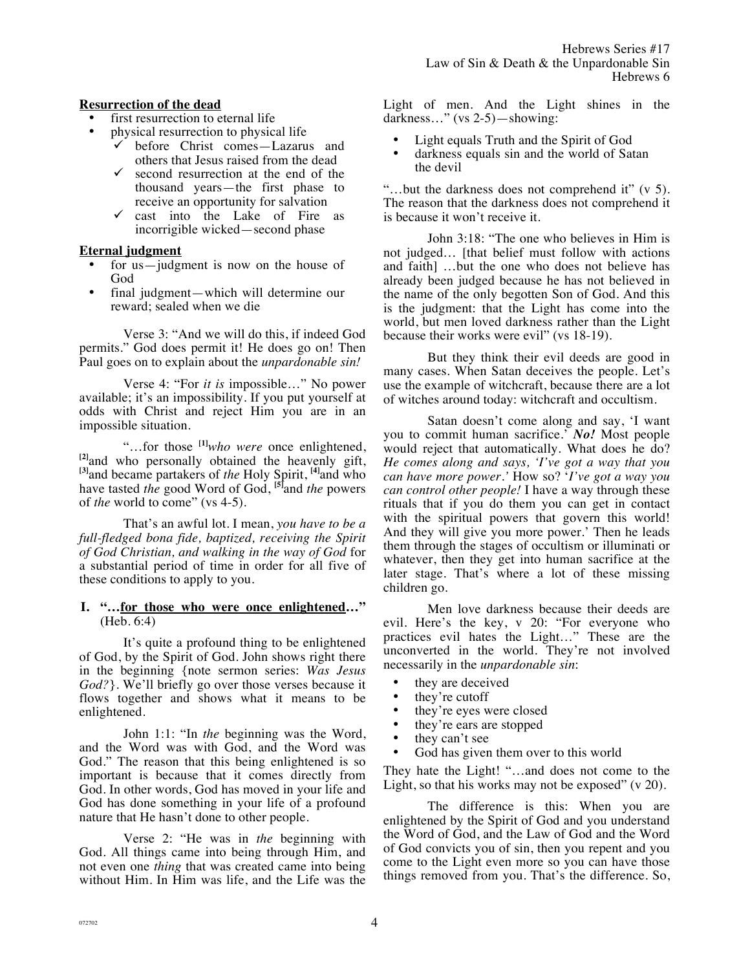## **Resurrection of the dead**

- first resurrection to eternal life
	- physical resurrection to physical life
		- ! before Christ comes—Lazarus and others that Jesus raised from the dead
		- $\checkmark$  second resurrection at the end of the thousand years—the first phase to receive an opportunity for salvation
		- $\checkmark$  cast into the Lake of Fire as incorrigible wicked—second phase

## **Eternal judgment**

- for us—judgment is now on the house of God
- final judgment—which will determine our reward; sealed when we die

Verse 3: "And we will do this, if indeed God permits." God does permit it! He does go on! Then Paul goes on to explain about the *unpardonable sin!*

Verse 4: "For *it is* impossible…" No power available; it's an impossibility. If you put yourself at odds with Christ and reject Him you are in an impossible situation.

"…for those **[1]***who were* once enlightened, **[2]**and who personally obtained the heavenly gift, **[3]**and became partakers of *the* Holy Spirit, **[4]**and who have tasted *the* good Word of God, **[5]**and *the* powers of *the* world to come" (vs 4-5).

That's an awful lot. I mean, *you have to be a full-fledged bona fide, baptized, receiving the Spirit of God Christian, and walking in the way of God* for a substantial period of time in order for all five of these conditions to apply to you.

#### **I. "…for those who were once enlightened…"**  (Heb. 6:4)

It's quite a profound thing to be enlightened of God, by the Spirit of God. John shows right there in the beginning {note sermon series: *Was Jesus God?*}. We'll briefly go over those verses because it flows together and shows what it means to be enlightened.

John 1:1: "In *the* beginning was the Word, and the Word was with God, and the Word was God." The reason that this being enlightened is so important is because that it comes directly from God. In other words, God has moved in your life and God has done something in your life of a profound nature that He hasn't done to other people.

Verse 2: "He was in *the* beginning with God. All things came into being through Him, and not even one *thing* that was created came into being without Him. In Him was life, and the Life was the Light of men. And the Light shines in the darkness…" (vs 2-5)—showing:

- Light equals Truth and the Spirit of God
- darkness equals sin and the world of Satan the devil

"…but the darkness does not comprehend it" (v 5). The reason that the darkness does not comprehend it is because it won't receive it.

John 3:18: "The one who believes in Him is not judged… [that belief must follow with actions and faith] …but the one who does not believe has already been judged because he has not believed in the name of the only begotten Son of God. And this is the judgment: that the Light has come into the world, but men loved darkness rather than the Light because their works were evil" (vs 18-19).

But they think their evil deeds are good in many cases. When Satan deceives the people. Let's use the example of witchcraft, because there are a lot of witches around today: witchcraft and occultism.

Satan doesn't come along and say, 'I want you to commit human sacrifice.' *No!* Most people would reject that automatically. What does he do? *He comes along and says, 'I've got a way that you can have more power.'* How so? '*I've got a way you can control other people!* I have a way through these rituals that if you do them you can get in contact with the spiritual powers that govern this world! And they will give you more power.' Then he leads them through the stages of occultism or illuminati or whatever, then they get into human sacrifice at the later stage. That's where a lot of these missing children go.

Men love darkness because their deeds are evil. Here's the key, v 20: "For everyone who practices evil hates the Light…" These are the unconverted in the world. They're not involved necessarily in the *unpardonable sin*:

- they are deceived
- they're cutoff<br>• they're eves w
- they're eyes were closed
- they're ears are stopped
- they can't see
- God has given them over to this world

They hate the Light! "…and does not come to the Light, so that his works may not be exposed" (v 20).

The difference is this: When you are enlightened by the Spirit of God and you understand the Word of God, and the Law of God and the Word of God convicts you of sin, then you repent and you come to the Light even more so you can have those things removed from you. That's the difference. So,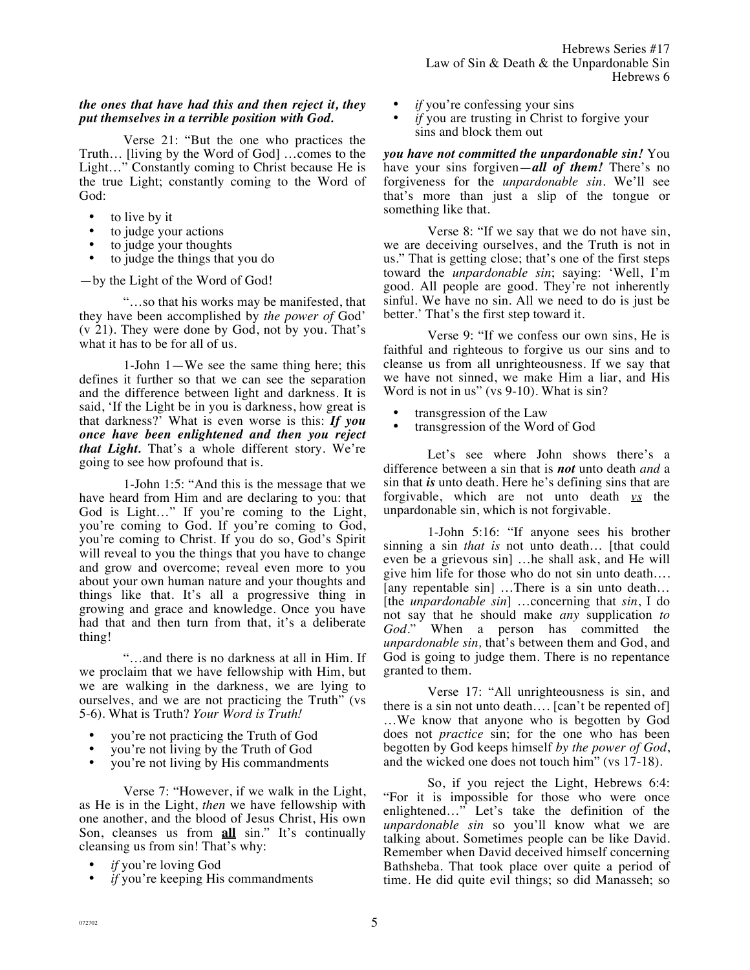### *the ones that have had this and then reject it, they put themselves in a terrible position with God.*

Verse 21: "But the one who practices the Truth… [living by the Word of God] …comes to the Light…" Constantly coming to Christ because He is the true Light; constantly coming to the Word of God:

- to live by it
- to judge your actions
- to judge your thoughts
- to judge the things that you do

—by the Light of the Word of God!

"…so that his works may be manifested, that they have been accomplished by *the power of* God' (v 21). They were done by God, not by you. That's what it has to be for all of us.

1-John 1—We see the same thing here; this defines it further so that we can see the separation and the difference between light and darkness. It is said, 'If the Light be in you is darkness, how great is that darkness?' What is even worse is this: *If you once have been enlightened and then you reject that Light.* That's a whole different story. We're going to see how profound that is.

1-John 1:5: "And this is the message that we have heard from Him and are declaring to you: that God is Light…" If you're coming to the Light, you're coming to God. If you're coming to God, you're coming to Christ. If you do so, God's Spirit will reveal to you the things that you have to change and grow and overcome; reveal even more to you about your own human nature and your thoughts and things like that. It's all a progressive thing in growing and grace and knowledge. Once you have had that and then turn from that, it's a deliberate thing!

"…and there is no darkness at all in Him. If we proclaim that we have fellowship with Him, but we are walking in the darkness, we are lying to ourselves, and we are not practicing the Truth" (vs 5-6). What is Truth? *Your Word is Truth!* 

- you're not practicing the Truth of God
- you're not living by the Truth of God
- you're not living by His commandments

Verse 7: "However, if we walk in the Light, as He is in the Light, *then* we have fellowship with one another, and the blood of Jesus Christ, His own Son, cleanses us from **all** sin." It's continually cleansing us from sin! That's why:

- *if* you're loving God
- *if* you're keeping His commandments
- *if* you're confessing your sins
- *if* you are trusting in Christ to forgive your sins and block them out

*you have not committed the unpardonable sin!* You have your sins forgiven—*all of them!* There's no forgiveness for the *unpardonable sin.* We'll see that's more than just a slip of the tongue or something like that.

Verse 8: "If we say that we do not have sin, we are deceiving ourselves, and the Truth is not in us." That is getting close; that's one of the first steps toward the *unpardonable sin*; saying: 'Well, I'm good. All people are good. They're not inherently sinful. We have no sin. All we need to do is just be better.' That's the first step toward it.

Verse 9: "If we confess our own sins, He is faithful and righteous to forgive us our sins and to cleanse us from all unrighteousness. If we say that we have not sinned, we make Him a liar, and His Word is not in us" (vs 9-10). What is sin?

- transgression of the Law
- transgression of the Word of God

Let's see where John shows there's a difference between a sin that is *not* unto death *and* a sin that *is* unto death. Here he's defining sins that are forgivable, which are not unto death *vs* the unpardonable sin, which is not forgivable.

1-John 5:16: "If anyone sees his brother sinning a sin *that is* not unto death… [that could even be a grievous sin] …he shall ask, and He will give him life for those who do not sin unto death…. [any repentable sin] …There is a sin unto death… [the *unpardonable sin*] …concerning that *sin*, I do not say that he should make *any* supplication *to God.*" When a person has committed the *unpardonable sin,* that's between them and God, and God is going to judge them. There is no repentance granted to them.

Verse 17: "All unrighteousness is sin, and there is a sin not unto death…. [can't be repented of] …We know that anyone who is begotten by God does not *practice* sin; for the one who has been begotten by God keeps himself *by the power of God*, and the wicked one does not touch him" (vs 17-18).

So, if you reject the Light, Hebrews 6:4: "For it is impossible for those who were once enlightened…" Let's take the definition of the *unpardonable sin* so you'll know what we are talking about. Sometimes people can be like David. Remember when David deceived himself concerning Bathsheba. That took place over quite a period of time. He did quite evil things; so did Manasseh; so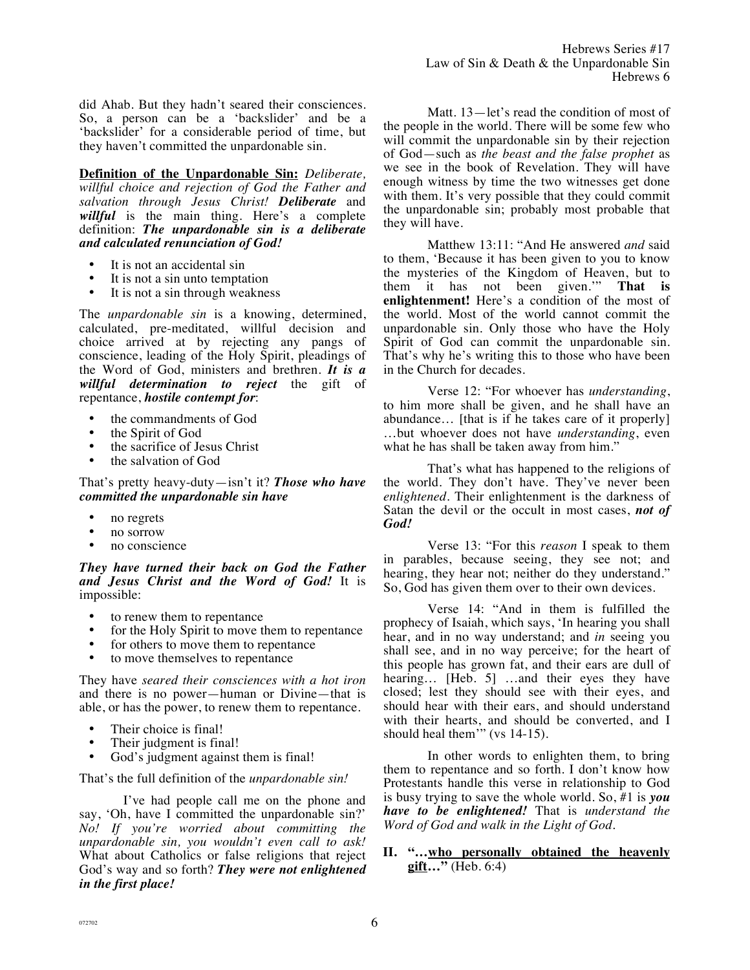did Ahab. But they hadn't seared their consciences. So, a person can be a 'backslider' and be a 'backslider' for a considerable period of time, but they haven't committed the unpardonable sin.

**Definition of the Unpardonable Sin:** *Deliberate, willful choice and rejection of God the Father and salvation through Jesus Christ! Deliberate* and willful is the main thing. Here's a complete definition: *The unpardonable sin is a deliberate and calculated renunciation of God!*

- It is not an accidental sin
- It is not a sin unto temptation<br>• It is not a sin through weakney
- It is not a sin through weakness

The *unpardonable sin* is a knowing, determined, calculated, pre-meditated, willful decision and choice arrived at by rejecting any pangs of conscience, leading of the Holy Spirit, pleadings of the Word of God, ministers and brethren. *It is a willful determination to reject* the gift of repentance, *hostile contempt for*:

- the commandments of God<br>• the Spirit of God
- the Spirit of God<br>• the sacrifice of Ie
- the sacrifice of Jesus Christ
- the salvation of God

That's pretty heavy-duty—isn't it? *Those who have committed the unpardonable sin have*

- no regrets
- no sorrow
- no conscience

*They have turned their back on God the Father and Jesus Christ and the Word of God!* It is impossible:

- to renew them to repentance<br>• for the Holy Spirit to move the
- for the Holy Spirit to move them to repentance
- for others to move them to repentance<br>• to move themselves to repentance
- to move themselves to repentance

They have *seared their consciences with a hot iron* and there is no power—human or Divine—that is able, or has the power, to renew them to repentance.

- Their choice is final!
- Their judgment is final!
- God's judgment against them is final!

That's the full definition of the *unpardonable sin!*

I've had people call me on the phone and say, 'Oh, have I committed the unpardonable sin?' *No! If you're worried about committing the unpardonable sin, you wouldn't even call to ask!* What about Catholics or false religions that reject God's way and so forth? *They were not enlightened in the first place!*

Matt. 13—let's read the condition of most of the people in the world. There will be some few who will commit the unpardonable sin by their rejection of God—such as *the beast and the false prophet* as we see in the book of Revelation. They will have enough witness by time the two witnesses get done with them. It's very possible that they could commit the unpardonable sin; probably most probable that they will have.

Matthew 13:11: "And He answered *and* said to them, 'Because it has been given to you to know the mysteries of the Kingdom of Heaven, but to<br>them it has not been given." That is them it has not been given." **enlightenment!** Here's a condition of the most of the world. Most of the world cannot commit the unpardonable sin. Only those who have the Holy Spirit of God can commit the unpardonable sin. That's why he's writing this to those who have been in the Church for decades.

Verse 12: "For whoever has *understanding*, to him more shall be given, and he shall have an abundance… [that is if he takes care of it properly] …but whoever does not have *understanding*, even what he has shall be taken away from him."

That's what has happened to the religions of the world. They don't have. They've never been *enlightened*. Their enlightenment is the darkness of Satan the devil or the occult in most cases, *not of God!*

Verse 13: "For this *reason* I speak to them in parables, because seeing, they see not; and hearing, they hear not; neither do they understand." So, God has given them over to their own devices.

Verse 14: "And in them is fulfilled the prophecy of Isaiah, which says, 'In hearing you shall hear, and in no way understand; and *in* seeing you shall see, and in no way perceive; for the heart of this people has grown fat, and their ears are dull of hearing... [Heb. 5] ...and their eyes they have closed; lest they should see with their eyes, and should hear with their ears, and should understand with their hearts, and should be converted, and I should heal them'" (vs 14-15).

In other words to enlighten them, to bring them to repentance and so forth. I don't know how Protestants handle this verse in relationship to God is busy trying to save the whole world. So, #1 is *you have to be enlightened!* That is *understand the Word of God and walk in the Light of God.* 

**II. "…who personally obtained the heavenly gift…"** (Heb. 6:4)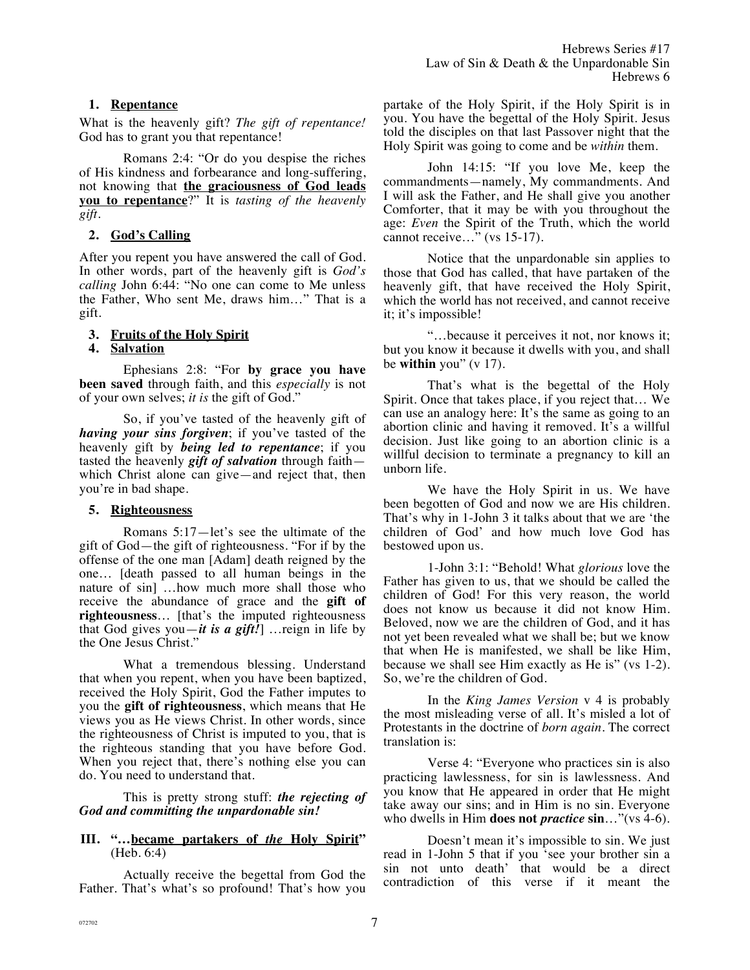# **1. Repentance**

What is the heavenly gift? *The gift of repentance!*  God has to grant you that repentance!

Romans 2:4: "Or do you despise the riches of His kindness and forbearance and long-suffering, not knowing that **the graciousness of God leads you to repentance**?" It is *tasting of the heavenly gift.*

# **2. God's Calling**

After you repent you have answered the call of God. In other words, part of the heavenly gift is *God's calling* John 6:44: "No one can come to Me unless the Father, Who sent Me, draws him…" That is a gift.

# **3. Fruits of the Holy Spirit**

# **4. Salvation**

Ephesians 2:8: "For **by grace you have been saved** through faith, and this *especially* is not of your own selves; *it is* the gift of God."

So, if you've tasted of the heavenly gift of *having your sins forgiven*; if you've tasted of the heavenly gift by *being led to repentance*; if you tasted the heavenly *gift of salvation* through faith which Christ alone can give—and reject that, then you're in bad shape.

# **5. Righteousness**

Romans 5:17—let's see the ultimate of the gift of God—the gift of righteousness. "For if by the offense of the one man [Adam] death reigned by the one… [death passed to all human beings in the nature of sin] …how much more shall those who receive the abundance of grace and the **gift of righteousness**… [that's the imputed righteousness that God gives you—*it is a gift!*] …reign in life by the One Jesus Christ."

What a tremendous blessing. Understand that when you repent, when you have been baptized, received the Holy Spirit, God the Father imputes to you the **gift of righteousness**, which means that He views you as He views Christ. In other words, since the righteousness of Christ is imputed to you, that is the righteous standing that you have before God. When you reject that, there's nothing else you can do. You need to understand that.

This is pretty strong stuff: *the rejecting of God and committing the unpardonable sin!*

### **III. "…became partakers of** *the* **Holy Spirit"**  (Heb. 6:4)

Actually receive the begettal from God the Father. That's what's so profound! That's how you

partake of the Holy Spirit, if the Holy Spirit is in you. You have the begettal of the Holy Spirit. Jesus told the disciples on that last Passover night that the Holy Spirit was going to come and be *within* them.

John 14:15: "If you love Me, keep the commandments—namely, My commandments. And I will ask the Father, and He shall give you another Comforter, that it may be with you throughout the age: *Even* the Spirit of the Truth, which the world cannot receive…" (vs 15-17).

Notice that the unpardonable sin applies to those that God has called, that have partaken of the heavenly gift, that have received the Holy Spirit, which the world has not received, and cannot receive it; it's impossible!

"…because it perceives it not, nor knows it; but you know it because it dwells with you, and shall be **within** you" (v 17).

That's what is the begettal of the Holy Spirit. Once that takes place, if you reject that… We can use an analogy here: It's the same as going to an abortion clinic and having it removed. It's a willful decision. Just like going to an abortion clinic is a willful decision to terminate a pregnancy to kill an unborn life.

We have the Holy Spirit in us. We have been begotten of God and now we are His children. That's why in 1-John 3 it talks about that we are 'the children of God' and how much love God has bestowed upon us.

1-John 3:1: "Behold! What *glorious* love the Father has given to us, that we should be called the children of God! For this very reason, the world does not know us because it did not know Him. Beloved, now we are the children of God, and it has not yet been revealed what we shall be; but we know that when He is manifested, we shall be like Him, because we shall see Him exactly as He is" (vs 1-2). So, we're the children of God.

In the *King James Version* v 4 is probably the most misleading verse of all*.* It's misled a lot of Protestants in the doctrine of *born again.* The correct translation is:

Verse 4: "Everyone who practices sin is also practicing lawlessness, for sin is lawlessness. And you know that He appeared in order that He might take away our sins; and in Him is no sin. Everyone who dwells in Him **does not** *practice* **sin**…"(vs 4-6).

Doesn't mean it's impossible to sin. We just read in 1-John 5 that if you 'see your brother sin a sin not unto death' that would be a direct contradiction of this verse if it meant the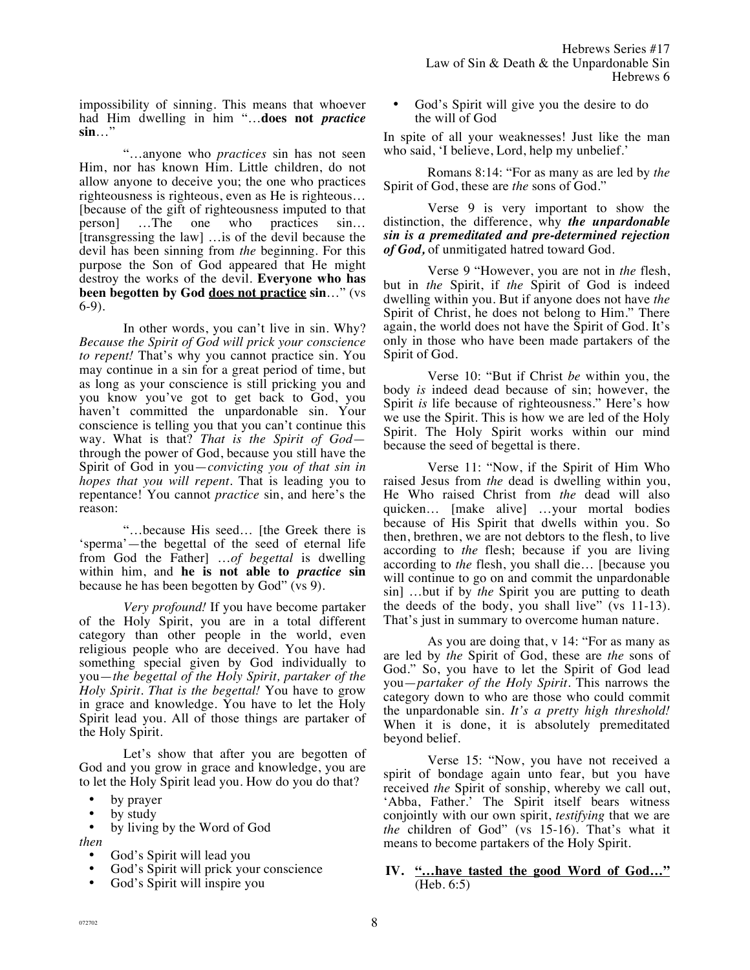impossibility of sinning. This means that whoever had Him dwelling in him "…**does not** *practice* **sin**…"

"…anyone who *practices* sin has not seen Him, nor has known Him. Little children, do not allow anyone to deceive you; the one who practices righteousness is righteous, even as He is righteous… [because of the gift of righteousness imputed to that person] …The one who practices sin… [transgressing the law] …is of the devil because the devil has been sinning from *the* beginning. For this purpose the Son of God appeared that He might destroy the works of the devil. **Everyone who has been begotten by God does not practice sin**…" (vs 6-9).

In other words, you can't live in sin. Why? *Because the Spirit of God will prick your conscience to repent!* That's why you cannot practice sin. You may continue in a sin for a great period of time, but as long as your conscience is still pricking you and you know you've got to get back to God, you haven't committed the unpardonable sin. Your conscience is telling you that you can't continue this way. What is that? *That is the Spirit of God* through the power of God, because you still have the Spirit of God in you—*convicting you of that sin in hopes that you will repent.* That is leading you to repentance! You cannot *practice* sin, and here's the reason:

"…because His seed… [the Greek there is 'sperma'—the begettal of the seed of eternal life from God the Father] …*of begettal* is dwelling within him, and **he is not able to** *practice* **sin** because he has been begotten by God" (vs 9).

*Very profound!* If you have become partaker of the Holy Spirit, you are in a total different category than other people in the world, even religious people who are deceived. You have had something special given by God individually to you—*the begettal of the Holy Spirit, partaker of the Holy Spirit. That is the begettal!* You have to grow in grace and knowledge. You have to let the Holy Spirit lead you. All of those things are partaker of the Holy Spirit.

Let's show that after you are begotten of God and you grow in grace and knowledge, you are to let the Holy Spirit lead you. How do you do that?

- by prayer
- by study

by living by the Word of God

- *then* 
	- God's Spirit will lead you
	- God's Spirit will prick your conscience
	- God's Spirit will inspire you

God's Spirit will give you the desire to do the will of God

In spite of all your weaknesses! Just like the man who said, 'I believe, Lord, help my unbelief.'

Romans 8:14: "For as many as are led by *the* Spirit of God, these are *the* sons of God."

Verse 9 is very important to show the distinction, the difference, why *the unpardonable sin is a premeditated and pre-determined rejection of God,* of unmitigated hatred toward God.

Verse 9 "However, you are not in *the* flesh, but in *the* Spirit, if *the* Spirit of God is indeed dwelling within you. But if anyone does not have *the* Spirit of Christ, he does not belong to Him." There again, the world does not have the Spirit of God. It's only in those who have been made partakers of the Spirit of God.

Verse 10: "But if Christ *be* within you, the body *is* indeed dead because of sin; however, the Spirit *is* life because of righteousness." Here's how we use the Spirit. This is how we are led of the Holy Spirit. The Holy Spirit works within our mind because the seed of begettal is there.

Verse 11: "Now, if the Spirit of Him Who raised Jesus from *the* dead is dwelling within you, He Who raised Christ from *the* dead will also quicken… [make alive] …your mortal bodies because of His Spirit that dwells within you. So then, brethren, we are not debtors to the flesh, to live according to *the* flesh; because if you are living according to *the* flesh, you shall die… [because you will continue to go on and commit the unpardonable sin] …but if by *the* Spirit you are putting to death the deeds of the body, you shall live" (vs 11-13). That's just in summary to overcome human nature.

As you are doing that, v 14: "For as many as are led by *the* Spirit of God, these are *the* sons of God." So, you have to let the Spirit of God lead you—*partaker of the Holy Spirit.* This narrows the category down to who are those who could commit the unpardonable sin. *It's a pretty high threshold!*  When it is done, it is absolutely premeditated beyond belief.

Verse 15: "Now, you have not received a spirit of bondage again unto fear, but you have received *the* Spirit of sonship, whereby we call out, 'Abba, Father.' The Spirit itself bears witness conjointly with our own spirit, *testifying* that we are *the* children of God" (vs 15-16). That's what it means to become partakers of the Holy Spirit.

## **IV. "…have tasted the good Word of God…"** (Heb. 6:5)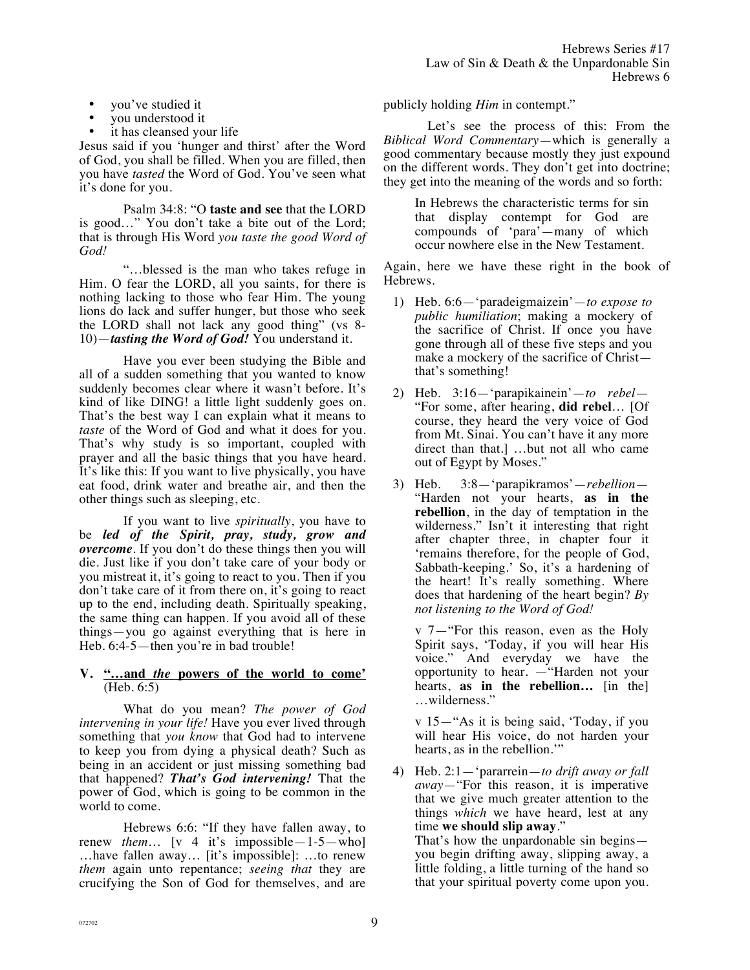- you've studied it
- you understood it
- it has cleansed your life

Jesus said if you 'hunger and thirst' after the Word of God, you shall be filled. When you are filled, then you have *tasted* the Word of God. You've seen what it's done for you.

Psalm 34:8: "O **taste and see** that the LORD is good…" You don't take a bite out of the Lord; that is through His Word *you taste the good Word of God!*

"…blessed is the man who takes refuge in Him. O fear the LORD, all you saints, for there is nothing lacking to those who fear Him. The young lions do lack and suffer hunger, but those who seek the LORD shall not lack any good thing" (vs 8- 10)—*tasting the Word of God!* You understand it.

Have you ever been studying the Bible and all of a sudden something that you wanted to know suddenly becomes clear where it wasn't before. It's kind of like DING! a little light suddenly goes on. That's the best way I can explain what it means to *taste* of the Word of God and what it does for you. That's why study is so important, coupled with prayer and all the basic things that you have heard. It's like this: If you want to live physically, you have eat food, drink water and breathe air, and then the other things such as sleeping, etc.

If you want to live *spiritually*, you have to be *led of the Spirit, pray, study, grow and overcome*. If you don't do these things then you will die. Just like if you don't take care of your body or you mistreat it, it's going to react to you. Then if you don't take care of it from there on, it's going to react up to the end, including death. Spiritually speaking, the same thing can happen. If you avoid all of these things—you go against everything that is here in Heb. 6:4-5—then you're in bad trouble!

## **V. "…and** *the* **powers of the world to come'**  (Heb. 6:5)

What do you mean? *The power of God intervening in your life!* Have you ever lived through something that *you know* that God had to intervene to keep you from dying a physical death? Such as being in an accident or just missing something bad that happened? *That's God intervening!* That the power of God, which is going to be common in the world to come.

Hebrews 6:6: "If they have fallen away, to renew *them*… [v 4 it's impossible—1-5—who] …have fallen away… [it's impossible]: …to renew *them* again unto repentance; *seeing that* they are crucifying the Son of God for themselves, and are publicly holding *Him* in contempt."

Let's see the process of this: From the *Biblical Word Commentary*—which is generally a good commentary because mostly they just expound on the different words. They don't get into doctrine; they get into the meaning of the words and so forth:

> In Hebrews the characteristic terms for sin that display contempt for God are compounds of 'para'—many of which occur nowhere else in the New Testament.

Again, here we have these right in the book of Hebrews.

- 1) Heb. 6:6—'paradeigmaizein'—*to expose to public humiliation*; making a mockery of the sacrifice of Christ. If once you have gone through all of these five steps and you make a mockery of the sacrifice of Christ that's something!
- 2) Heb. 3:16—'parapikainein'—*to rebel* "For some, after hearing, **did rebel**… [Of course, they heard the very voice of God from Mt. Sinai. You can't have it any more direct than that.] …but not all who came out of Egypt by Moses."
- 3) Heb. 3:8—'parapikramos'—*rebellion* "Harden not your hearts, **as in the rebellion**, in the day of temptation in the wilderness." Isn't it interesting that right after chapter three, in chapter four it 'remains therefore, for the people of God, Sabbath-keeping.' So, it's a hardening of the heart! It's really something. Where does that hardening of the heart begin? *By not listening to the Word of God!*

v 7—"For this reason, even as the Holy Spirit says, 'Today, if you will hear His voice." And everyday we have the opportunity to hear. —"Harden not your hearts, **as in the rebellion…** [in the] …wilderness."

v 15—"As it is being said, 'Today, if you will hear His voice, do not harden your hearts, as in the rebellion.'"

4) Heb. 2:1—'pararrein—*to drift away or fall away*—"For this reason, it is imperative that we give much greater attention to the things *which* we have heard, lest at any time **we should slip away**." That's how the unpardonable sin begins—

you begin drifting away, slipping away, a little folding, a little turning of the hand so that your spiritual poverty come upon you.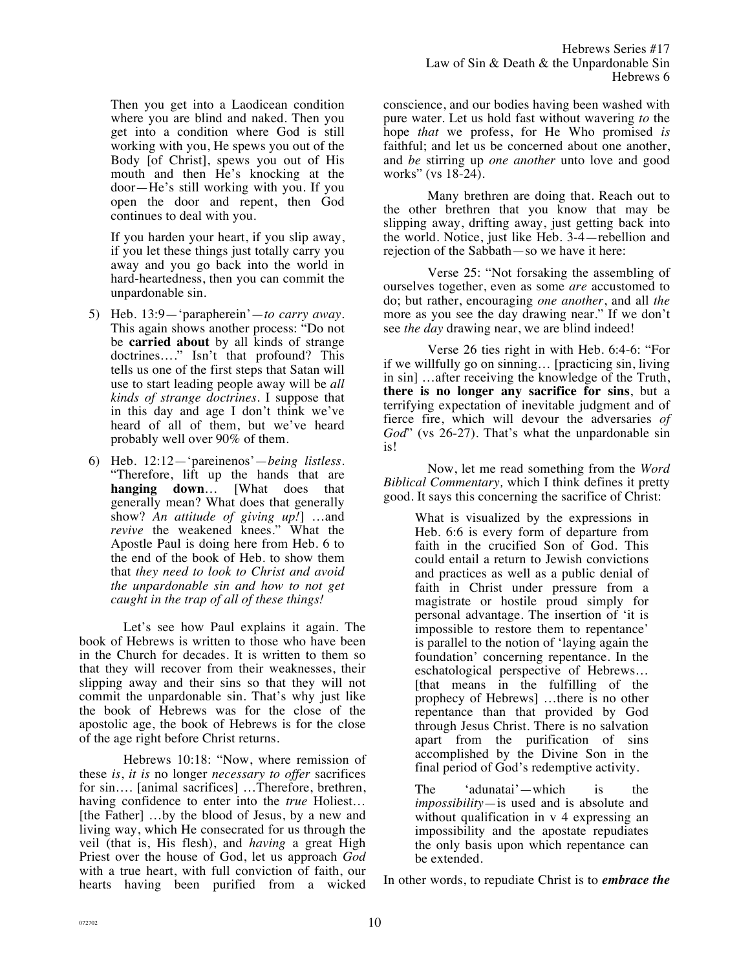Then you get into a Laodicean condition where you are blind and naked. Then you get into a condition where God is still working with you, He spews you out of the Body [of Christ], spews you out of His mouth and then He's knocking at the door—He's still working with you. If you open the door and repent, then God continues to deal with you.

If you harden your heart, if you slip away, if you let these things just totally carry you away and you go back into the world in hard-heartedness, then you can commit the unpardonable sin.

- 5) Heb. 13:9—'parapherein'—*to carry away*. This again shows another process: "Do not be **carried about** by all kinds of strange doctrines...." Isn't that profound? This tells us one of the first steps that Satan will use to start leading people away will be *all kinds of strange doctrines.* I suppose that in this day and age I don't think we've heard of all of them, but we've heard probably well over 90% of them.
- 6) Heb. 12:12—'pareinenos'—*being listless.*  "Therefore, lift up the hands that are **hanging down**… [What does that generally mean? What does that generally show? *An attitude of giving up!*] …and *revive* the weakened knees." What the Apostle Paul is doing here from Heb. 6 to the end of the book of Heb. to show them that *they need to look to Christ and avoid the unpardonable sin and how to not get caught in the trap of all of these things!*

Let's see how Paul explains it again. The book of Hebrews is written to those who have been in the Church for decades. It is written to them so that they will recover from their weaknesses, their slipping away and their sins so that they will not commit the unpardonable sin. That's why just like the book of Hebrews was for the close of the apostolic age, the book of Hebrews is for the close of the age right before Christ returns.

Hebrews 10:18: "Now, where remission of these *is*, *it is* no longer *necessary to offer* sacrifices for sin…. [animal sacrifices] …Therefore, brethren, having confidence to enter into the *true* Holiest… [the Father] ...by the blood of Jesus, by a new and living way, which He consecrated for us through the veil (that is, His flesh), and *having* a great High Priest over the house of God, let us approach *God* with a true heart, with full conviction of faith, our hearts having been purified from a wicked

conscience, and our bodies having been washed with pure water. Let us hold fast without wavering *to* the hope *that* we profess, for He Who promised *is* faithful; and let us be concerned about one another, and *be* stirring up *one another* unto love and good works" (vs 18-24).

Many brethren are doing that. Reach out to the other brethren that you know that may be slipping away, drifting away, just getting back into the world. Notice, just like Heb. 3-4—rebellion and rejection of the Sabbath—so we have it here:

Verse 25: "Not forsaking the assembling of ourselves together, even as some *are* accustomed to do; but rather, encouraging *one another*, and all *the* more as you see the day drawing near." If we don't see *the day* drawing near, we are blind indeed!

Verse 26 ties right in with Heb. 6:4-6: "For if we willfully go on sinning… [practicing sin, living in sin] …after receiving the knowledge of the Truth, **there is no longer any sacrifice for sins**, but a terrifying expectation of inevitable judgment and of fierce fire, which will devour the adversaries *of God*" (vs 26-27). That's what the unpardonable sin is!

Now, let me read something from the *Word Biblical Commentary,* which I think defines it pretty good. It says this concerning the sacrifice of Christ:

> What is visualized by the expressions in Heb. 6:6 is every form of departure from faith in the crucified Son of God. This could entail a return to Jewish convictions and practices as well as a public denial of faith in Christ under pressure from a magistrate or hostile proud simply for personal advantage. The insertion of 'it is impossible to restore them to repentance' is parallel to the notion of 'laying again the foundation' concerning repentance. In the eschatological perspective of Hebrews… [that means in the fulfilling of the prophecy of Hebrews] …there is no other repentance than that provided by God through Jesus Christ. There is no salvation apart from the purification of sins accomplished by the Divine Son in the final period of God's redemptive activity.

The 'adunatai'—which is the *impossibility*—is used and is absolute and without qualification in v 4 expressing an impossibility and the apostate repudiates the only basis upon which repentance can be extended.

In other words, to repudiate Christ is to *embrace the*